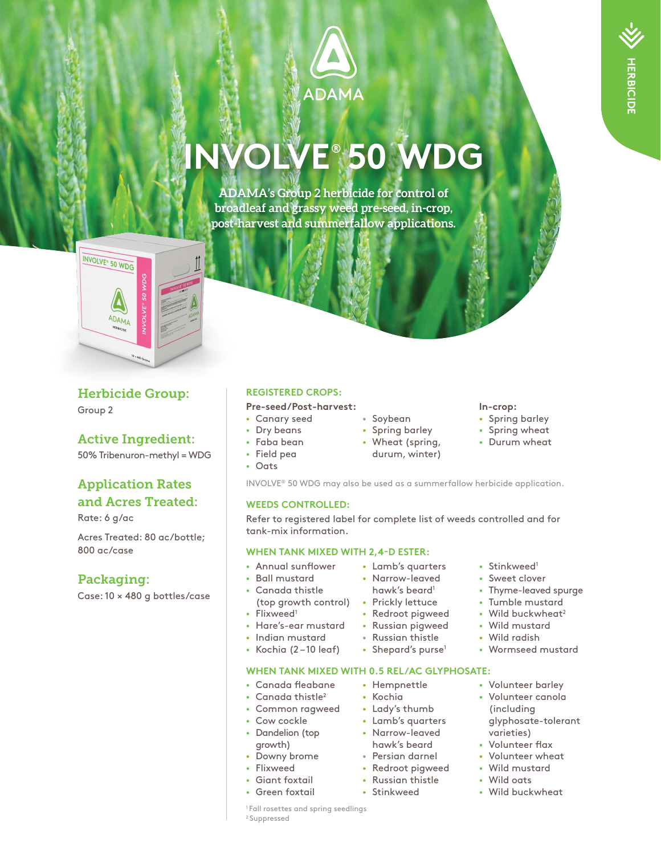

# **INVOLVE® 50 WDG**

**ADAMA's Group 2 herbicide for control of broadleaf and grassy weed pre-seed, in-crop, post-harvest and summerfallow applications.**



## Herbicide Group:

Group 2

# Active Ingredient:

50% Tribenuron-methyl = WDG

# Application Rates and Acres Treated:

Rate: 6 g/ac

Acres Treated: 80 ac/bottle; 800 ac/case

# Packaging:

Case: 10 × 480 g bottles/case

### **REGISTERED CROPS:**

- **Pre-seed/Post-harvest:**
- Canary seed
- Dry beans
- Faba bean
- Field pea • Oats
	-
	-

#### • Soybean

- Spring barley
- Wheat (spring, durum, winter)

#### **In-crop:**

- Spring barley
- Spring wheat
- Durum wheat

INVOLVE® 50 WDG may also be used as a summerfallow herbicide application.

#### **WEEDS CONTROLLED:**

Refer to registered label for complete list of weeds controlled and for tank-mix information.

#### **WHEN TANK MIXED WITH 2,4-D ESTER:**

- Annual sunflower
- Ball mustard
- Canada thistle
- (top growth control) Prickly lettuce
- Flixweed<sup>1</sup>
- Hare's-ear mustard
- Indian mustard
- Kochia (2 10 leaf)

#### **WHEN TANK MIXED WITH 0.5 REL/AC GLYPHOSATE:**

- Canada fleabane
- Canada thistle<sup>2</sup> • Common ragweed
- Cow cockle
- Dandelion (top
- growth)
- Downy brome
- Flixweed
- Giant foxtail
- Green foxtail
- Lamb's quarters • Narrow-leaved
- hawk's beard<sup>1</sup>
- Redroot pigweed
- Russian pigweed
- Russian thistle
- Shepard's purse<sup>1</sup>
	- Volunteer canola (including varieties)
	- Volunteer flax
	- Volunteer wheat
	- Wild mustard
	- Wild oats
	- Wild buckwheat

<sup>1</sup> Fall rosettes and spring seedlings 2 Suppressed

- Stinkweed<sup>1</sup>
	- Sweet clover
	- Thyme-leaved spurge
	- Tumble mustard
	- Wild buckwheat<sup>2</sup> • Wild mustard
	-
	-
	-
	- glyphosate-tolerant
	-
	-
	-
	-
	-
- Lady's thumb
- hawk's beard

• Hempnettle • Kochia

- Persian darnel
- Redroot pigweed
- Russian thistle
- Stinkweed
- - Wild radish
		- Wormseed mustard
	-
- Volunteer barley
	- -
	-
	-
- Lamb's quarters
- Narrow-leaved
	-
- 
-